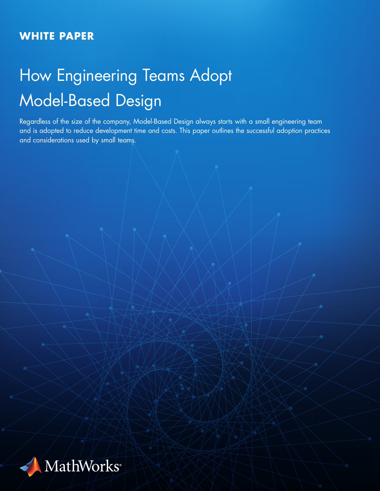## **WHITE PAPER**

# How Engineering Teams Adopt Model-Based Design

Regardless of the size of the company, Model-Based Design always starts with a small engineering team and is adopted to reduce development time and costs. This paper outlines the successful adoption practices and considerations used by small teams.

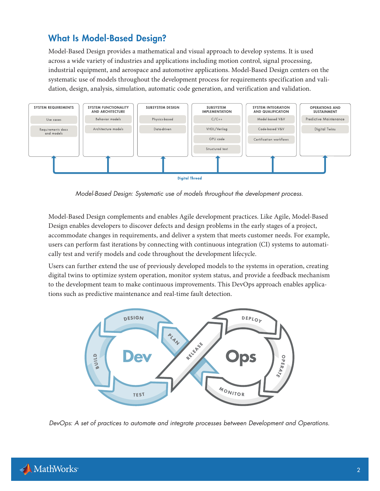## What Is Model-Based Design?

Model-Based Design provides a mathematical and visual approach to develop systems. It is used across a wide variety of industries and applications including motion control, signal processing, industrial equipment, and aerospace and automotive applications. Model-Based Design centers on the systematic use of models throughout the development process for requirements specification and validation, design, analysis, simulation, automatic code generation, and verification and validation.



*Model-Based Design: Systematic use of models throughout the development process.*

Model-Based Design complements and enables Agile development practices. Like Agile, Model-Based Design enables developers to discover defects and design problems in the early stages of a project, accommodate changes in requirements, and deliver a system that meets customer needs. For example, users can perform fast iterations by connecting with continuous integration (CI) systems to automatically test and verify models and code throughout the development lifecycle.

Users can further extend the use of previously developed models to the systems in operation, creating digital twins to optimize system operation, monitor system status, and provide a feedback mechanism to the development team to make continuous improvements. This DevOps approach enables applications such as predictive maintenance and real-time fault detection.



*DevOps: A set of practices to automate and integrate processes between Development and Operations.*

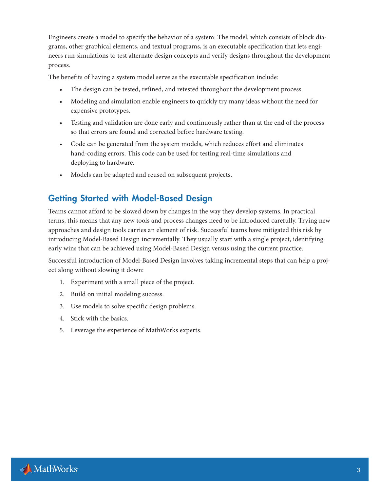Engineers create a model to specify the behavior of a system. The model, which consists of block diagrams, other graphical elements, and textual programs, is an executable specification that lets engineers run simulations to test alternate design concepts and verify designs throughout the development process.

The benefits of having a system model serve as the executable specification include:

- The design can be tested, refined, and retested throughout the development process.
- Modeling and simulation enable engineers to quickly try many ideas without the need for expensive prototypes.
- Testing and validation are done early and continuously rather than at the end of the process so that errors are found and corrected before hardware testing.
- Code can be generated from the system models, which reduces effort and eliminates hand-coding errors. This code can be used for testing real-time simulations and deploying to hardware.
- Models can be adapted and reused on subsequent projects.

## Getting Started with Model-Based Design

Teams cannot afford to be slowed down by changes in the way they develop systems. In practical terms, this means that any new tools and process changes need to be introduced carefully. Trying new approaches and design tools carries an element of risk. Successful teams have mitigated this risk by introducing Model-Based Design incrementally. They usually start with a single project, identifying early wins that can be achieved using Model-Based Design versus using the current practice.

Successful introduction of Model-Based Design involves taking incremental steps that can help a project along without slowing it down:

- 1. Experiment with a small piece of the project.
- 2. Build on initial modeling success.
- 3. Use models to solve specific design problems.
- 4. Stick with the basics.
- 5. Leverage the experience of MathWorks experts.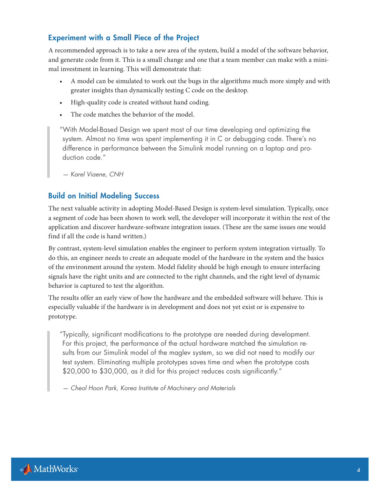#### Experiment with a Small Piece of the Project

A recommended approach is to take a new area of the system, build a model of the software behavior, and generate code from it. This is a small change and one that a team member can make with a minimal investment in learning. This will demonstrate that:

- A model can be simulated to work out the bugs in the algorithms much more simply and with greater insights than dynamically testing C code on the desktop.
- High-quality code is created without hand coding.
- The code matches the behavior of the model.

"With Model-Based Design we spent most of our time developing and optimizing the system. Almost no time was spent implementing it in C or debugging code. There's no difference in performance between the Simulink model running on a laptop and production code."

*— Karel Viaene, CNH*

#### Build on Initial Modeling Success

The next valuable activity in adopting Model-Based Design is system-level simulation. Typically, once a segment of code has been shown to work well, the developer will incorporate it within the rest of the application and discover hardware-software integration issues. (These are the same issues one would find if all the code is hand written.)

By contrast, system-level simulation enables the engineer to perform system integration virtually. To do this, an engineer needs to create an adequate model of the hardware in the system and the basics of the environment around the system. Model fidelity should be high enough to ensure interfacing signals have the right units and are connected to the right channels, and the right level of dynamic behavior is captured to test the algorithm.

The results offer an early view of how the hardware and the embedded software will behave. This is especially valuable if the hardware is in development and does not yet exist or is expensive to prototype.

"Typically, significant modifications to the prototype are needed during development. For this project, the performance of the actual hardware matched the simulation results from our Simulink model of the maglev system, so we did not need to modify our test system. Eliminating multiple prototypes saves time and when the prototype costs \$20,000 to \$30,000, as it did for this project reduces costs significantly."

*— Cheol Hoon Park, Korea Institute of Machinery and Materials*

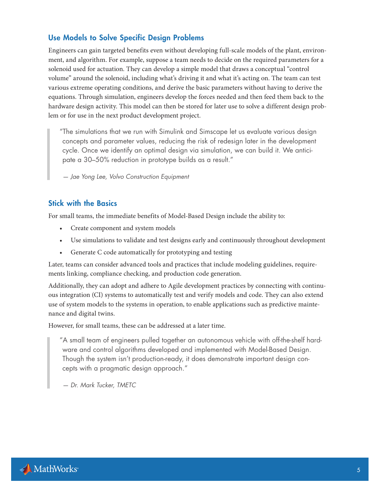#### Use Models to Solve Specific Design Problems

Engineers can gain targeted benefits even without developing full-scale models of the plant, environment, and algorithm. For example, suppose a team needs to decide on the required parameters for a solenoid used for actuation. They can develop a simple model that draws a conceptual "control volume" around the solenoid, including what's driving it and what it's acting on. The team can test various extreme operating conditions, and derive the basic parameters without having to derive the equations. Through simulation, engineers develop the forces needed and then feed them back to the hardware design activity. This model can then be stored for later use to solve a different design problem or for use in the next product development project.

"The simulations that we run with Simulink and Simscape let us evaluate various design concepts and parameter values, reducing the risk of redesign later in the development cycle. Once we identify an optimal design via simulation, we can build it. We anticipate a 30–50% reduction in prototype builds as a result."

*— Jae Yong Lee, Volvo Construction Equipment*

#### Stick with the Basics

For small teams, the immediate benefits of Model-Based Design include the ability to:

- Create component and system models
- Use simulations to validate and test designs early and continuously throughout development
- Generate C code automatically for prototyping and testing

Later, teams can consider advanced tools and practices that include modeling guidelines, requirements linking, compliance checking, and production code generation.

Additionally, they can adopt and adhere to Agile development practices by connecting with continuous integration (CI) systems to automatically test and verify models and code. They can also extend use of system models to the systems in operation, to enable applications such as predictive maintenance and digital twins.

However, for small teams, these can be addressed at a later time.

"A small team of engineers pulled together an autonomous vehicle with off-the-shelf hardware and control algorithms developed and implemented with Model-Based Design. Though the system isn't production-ready, it does demonstrate important design concepts with a pragmatic design approach."

*— Dr. Mark Tucker, TMETC*